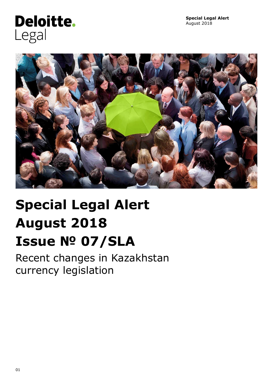## **Deloitte.** Legal



# **Special Legal Alert August 2018 Issue № 07/SLA**

Recent changes in Kazakhstan currency legislation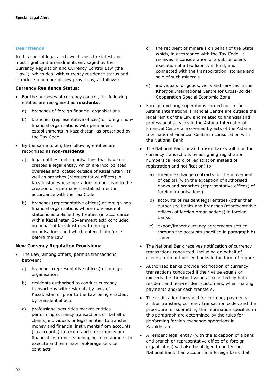## **Dear friends**

In this special legal alert, we discuss the latest and most significant amendments envisaged by the Currency Regulation and Currency Control Law (the "Law"), which deal with currency residence status and introduce a number of new provisions, as follows:

## **Currency Residence Status:**

- For the purposes of currency control, the following entities are recognised as **residents**:
	- a) branches of foreign financial organisations
	- b) branches (representative offices) of foreign nonfinancial organisations with permanent establishments in Kazakhstan, as prescribed by the Tax Code
- By the same token, the following entities are recognised as **non-residents**:
	- a) legal entities and organisations that have not created a legal entity, which are incorporated overseas and located outside of Kazakhstan; as well as branches (representative offices) in Kazakhstan whose operations do not lead to the creation of a permanent establishment in accordance with the Tax Code
	- b) branches (representative offices) of foreign nonfinancial organisations whose non-resident status is established by treaties (in accordance with a Kazakhstan Government act) concluded on behalf of Kazakhstan with foreign organisations, and which entered into force before the Law

## **New Currency Regulation Provisions:**

- The Law, among others, permits transactions between:
	- a) branches (representative offices) of foreign organisations
	- b) residents authorised to conduct currency transactions with residents by laws of Kazakhstan or prior to the Law being enacted, by presidential acts
	- c) professional securities market entities performing currency transactions on behalf of clients, individuals or legal entities to transfer money and financial instruments from accounts (to accounts) to record and store money and financial instruments belonging to customers, to execute and terminate brokerage service contracts
- d) the recipient of minerals on behalf of the State, which, in accordance with the Tax Code, it receives in consideration of a subsoil user's execution of a tax liability in kind, and connected with the transportation, storage and sale of such minerals
- e) individuals for goods, work and services in the Khorgos International Centre for Cross-Border Cooperation Special Economic Zone
- Foreign exchange operations carried out in the Astana International Financial Centre are outside the legal remit of the Law and related to financial and professional services in the Astana International Financial Centre are covered by acts of the Astana International Financial Centre in consultation with the National Bank.
- The National Bank or authorised banks will monitor currency transactions by assigning registration numbers (a record of registration instead of registration and notification) to:
	- a) foreign exchange contracts for the movement of capital (with the exception of authorised banks and branches (representative offices) of foreign organisations)
	- b) accounts of resident legal entities (other than authorised banks and branches (representative offices) of foreign organisations) in foreign banks
	- c) export/import currency agreements settled through the accounts specified in paragraph b) above
- The National Bank receives notification of currency transactions conducted, including on behalf of clients, from authorised banks in the form of reports.
- Authorised banks provide notification of currency transactions conducted if their value equals or exceeds the threshold value as reported by both resident and non-resident customers, when making payments and/or cash transfers.
- The notification threshold for currency payments and/or transfers, currency transaction codes and the procedure for submitting the information specified in this paragraph are determined by the rules for performing foreign exchange operations in Kazakhstan.
- A resident legal entity (with the exception of a bank and branch or representative office of a foreign organisation) will also be obliged to notify the National Bank if an account in a foreign bank that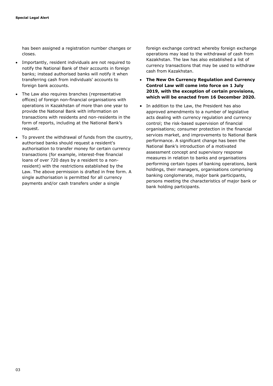has been assigned a registration number changes or closes.

- Importantly, resident individuals are not required to notify the National Bank of their accounts in foreign banks; instead authorised banks will notify it when transferring cash from individuals' accounts to foreign bank accounts.
- The Law also requires branches (representative offices) of foreign non-financial organisations with operations in Kazakhstan of more than one year to provide the National Bank with information on transactions with residents and non-residents in the form of reports, including at the National Bank's request.
- To prevent the withdrawal of funds from the country, authorised banks should request a resident's authorisation to transfer money for certain currency transactions (for example, interest-free financial loans of over 720 days by a resident to a nonresident) with the restrictions established by the Law. The above permission is drafted in free form. A single authorisation is permitted for all currency payments and/or cash transfers under a single

foreign exchange contract whereby foreign exchange operations may lead to the withdrawal of cash from Kazakhstan. The law has also established a list of currency transactions that may be used to withdraw cash from Kazakhstan.

- **The New On Currency Regulation and Currency Control Law will come into force on 1 July 2019, with the exception of certain provisions, which will be enacted from 16 December 2020.**
- In addition to the Law, the President has also approved amendments to a number of legislative acts dealing with currency regulation and currency control; the risk-based supervision of financial organisations; consumer protection in the financial services market, and improvements to National Bank performance. A significant change has been the National Bank's introduction of a motivated assessment concept and supervisory response measures in relation to banks and organisations performing certain types of banking operations, bank holdings, their managers, organisations comprising banking conglomerate, major bank participants, persons meeting the characteristics of major bank or bank holding participants.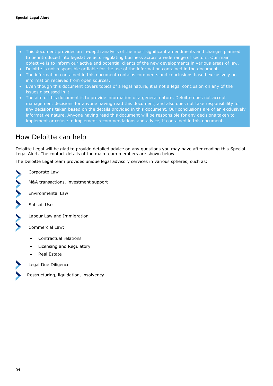- This document provides an in-depth analysis of the most significant amendments and changes planned to be introduced into legislative acts regulating business across a wide range of sectors. Our main objective is to inform our active and potential clients of the new developments in various areas of law.
- Deloitte is not responsible or liable for the use of the information contained in the document.
- The information contained in this document contains comments and conclusions based exclusively on information received from open sources.
- Even though this document covers topics of a legal nature, it is not a legal conclusion on any of the issues discussed in it.
- The aim of this document is to provide information of a general nature. Deloitte does not accept management decisions for anyone having read this document, and also does not take responsibility for any decisions taken based on the details provided in this document. Our conclusions are of an exclusively informative nature. Anyone having read this document will be responsible for any decisions taken to implement or refuse to implement recommendations and advice, if contained in this document.

## How Deloitte can help

Deloitte Legal will be glad to provide detailed advice on any questions you may have after reading this Special Legal Alert. The contact details of the main team members are shown below.

The Deloitte Legal team provides unique legal advisory services in various spheres, such as:

Corporate Law

M&A transactions, investment support

Environmental Law

Subsoil Use

WWW.

Labour Law and Immigration

Commercial Law:

- Contractual relations
- Licensing and Regulatory
- Real Estate

Legal Due Diligence

Restructuring, liquidation, insolvency